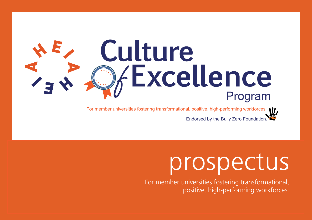# Culture *Fxcellence* Program

For member universities fostering transformational, positive, high-performing workforces Endorsed by the Bully Zero Foundation.

# prospectus

For member universities fostering transformational, positive, high-performing workforces.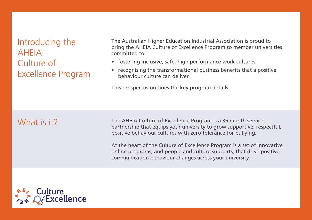Introducing the AHEIA Culture of Excellence Program

The Australian Higher Education Industrial Association is proud to bring the AHEIA Culture of Excellence Program to member universities committed to:

- fostering inclusive, safe, high performance work cultures
- recognising the transformational business benefits that a positive behaviour culture can deliver.

This prospectus outlines the key program details.

## What is it?

The AHEIA Culture of Excellence Program is a 36 month service partnership that equips your university to grow supportive, respectful, positive behaviour cultures with zero tolerance for bullying.

At the heart of the Culture of Excellence Program is a set of innovative online programs, and people and culture supports, that drive positive communication behaviour changes across your university.

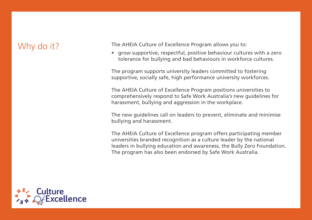# Why do it?

The AHEIA Culture of Excellence Program allows you to:

• grow supportive, respectful, positive behaviour cultures with a zero tolerance for bullying and bad behaviours in workforce cultures.

The program supports university leaders committed to fostering supportive, socially safe, high performance university workforces.

The AHEIA Culture of Excellence Program positions universities to comprehensively respond to Safe Work Australia's new guidelines for harassment, bullying and aggression in the workplace.

The new guidelines call on leaders to prevent, eliminate and minimise bullying and harassment.

The AHEIA Culture of Excellence program offers participating member universities branded recognition as a culture leader by the national leaders in bullying education and awareness, the Bully Zero Foundation. The program has also been endorsed by Safe Work Australia.

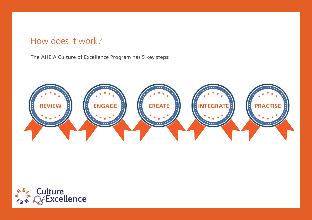# How does it work?

The AHEIA Culture of Excellence Program has 5 key steps:



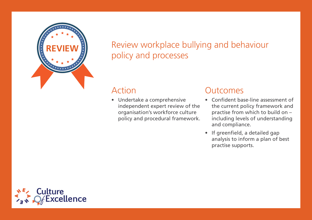

# Review workplace bullying and behaviour policy and processes

#### Action

• Undertake a comprehensive independent expert review of the organisation's workforce culture policy and procedural framework.

#### **Outcomes**

- Confident base-line assessment of the current policy framework and practise from which to build on – including levels of understanding and compliance.
- If greenfield, a detailed gap analysis to inform a plan of best practise supports.

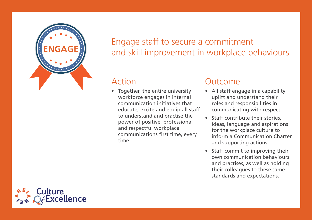

# Engage staff to secure a commitment and skill improvement in workplace behaviours

#### Action

• Together, the entire university workforce engages in internal communication initiatives that educate, excite and equip all staff to understand and practise the power of positive, professional and respectful workplace communications first time, every time.

#### Outcome

- All staff engage in a capability uplift and understand their roles and responsibilities in communicating with respect.
- Staff contribute their stories, ideas, language and aspirations for the workplace culture to inform a Communication Charter and supporting actions.
- Staff commit to improving their own communication behaviours and practises, as well as holding their colleagues to these same standards and expectations.

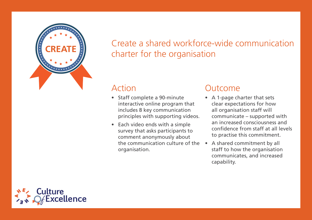

# Create a shared workforce-wide communication charter for the organisation

### Action

- Staff complete a 90-minute interactive online program that includes 8 key communication principles with supporting videos.
- Each video ends with a simple survey that asks participants to comment anonymously about the communication culture of the organisation.

#### Outcome

- A 1-page charter that sets clear expectations for how all organisation staff will communicate – supported with an increased consciousness and confidence from staff at all levels to practise this commitment.
- A shared commitment by all staff to how the organisation communicates, and increased capability.

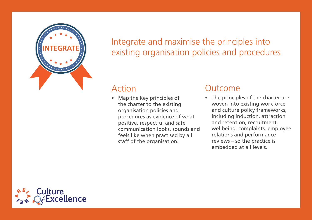

Integrate and maximise the principles into existing organisation policies and procedures

#### Action

• Map the key principles of the charter to the existing organisation policies and procedures as evidence of what positive, respectful and safe communication looks, sounds and feels like when practised by all staff of the organisation.

#### Outcome

• The principles of the charter are woven into existing workforce and culture policy frameworks, including induction, attraction and retention, recruitment, wellbeing, complaints, employee relations and performance reviews – so the practice is embedded at all levels.

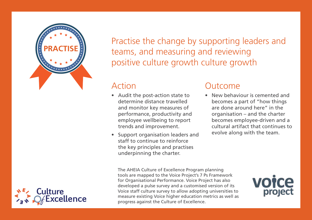

Practise the change by supporting leaders and teams, and measuring and reviewing positive culture growth culture growth

# Action

- Audit the post-action state to determine distance travelled and monitor key measures of performance, productivity and employee wellbeing to report trends and improvement.
- Support organisation leaders and staff to continue to reinforce the key principles and practises underpinning the charter.

#### Outcome

• New behaviour is cemented and becomes a part of "how things are done around here" in the organisation – and the charter becomes employee-driven and a cultural artifact that continues to evolve along with the team.

The AHEIA Culture of Excellence Program planning tools are mapped to the Voice Project's 7 Ps Framework for Organisational Performance. Voice Project has also developed a pulse survey and a customised version of its Voice staff culture survey to allow adopting universities to measure existing Voice higher education metrics as well as progress against the Culture of Excellence.



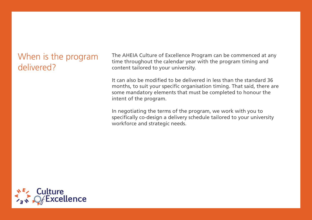# When is the program delivered?

The AHEIA Culture of Excellence Program can be commenced at any time throughout the calendar year with the program timing and content tailored to your university.

It can also be modified to be delivered in less than the standard 36 months, to suit your specific organisation timing. That said, there are some mandatory elements that must be completed to honour the intent of the program.

In negotiating the terms of the program, we work with you to specifically co-design a delivery schedule tailored to your university workforce and strategic needs.

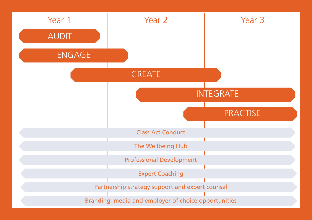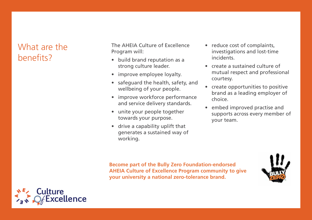# What are the benefits?

The AHEIA Culture of Excellence Program will:

- build brand reputation as a strong culture leader.
- improve employee loyalty.
- safeguard the health, safety, and wellbeing of your people.
- improve workforce performance and service delivery standards.
- unite your people together towards your purpose.
- drive a capability uplift that generates a sustained way of working.
- reduce cost of complaints, investigations and lost-time incidents.
- create a sustained culture of mutual respect and professional courtesy.
- create opportunities to positive brand as a leading employer of choice.
- embed improved practise and supports across every member of your team.

**Become part of the Bully Zero Foundation-endorsed AHEIA Culture of Excellence Program community to give your university a national zero-tolerance brand.**



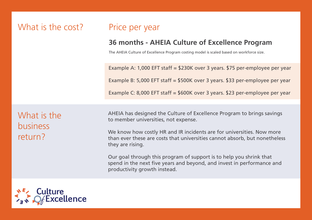# What is the cost? Price per year

#### **36 months - AHEIA Culture of Excellence Program**

The AHEIA Culture of Excellence Program costing model is scaled based on workforce size.

Example A: 1,000 EFT staff = \$230K over 3 years. \$75 per-employee per year Example B: 5,000 EFT staff = \$500K over 3 years. \$33 per-employee per year Example C: 8,000 EFT staff = \$600K over 3 years. \$23 per-employee per year

What is the business return?

AHEIA has designed the Culture of Excellence Program to brings savings to member universities, not expense.

We know how costly HR and IR incidents are for universities. Now more than ever these are costs that universities cannot absorb, but nonetheless they are rising.

Our goal through this program of support is to help you shrink that spend in the next five years and beyond, and invest in performance and productivity growth instead.

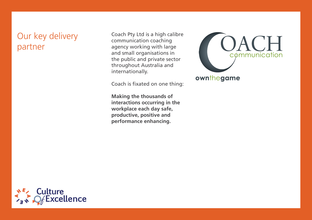# Our key delivery partner

Coach Pty Ltd is a high calibre communication coaching agency working with large and small organisations in the public and private sector throughout Australia and internationally.

Coach is fixated on one thing:

**Making the thousands of interactions occurring in the workplace each day safe, productive, positive and performance enhancing.**